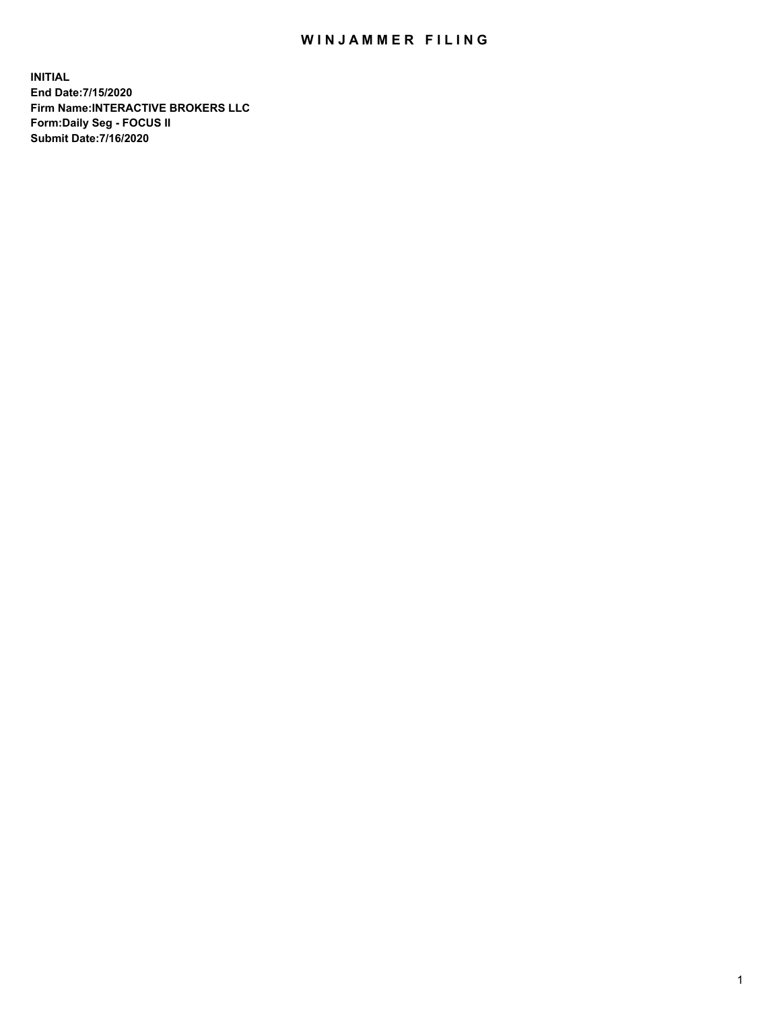## WIN JAMMER FILING

**INITIAL End Date:7/15/2020 Firm Name:INTERACTIVE BROKERS LLC Form:Daily Seg - FOCUS II Submit Date:7/16/2020**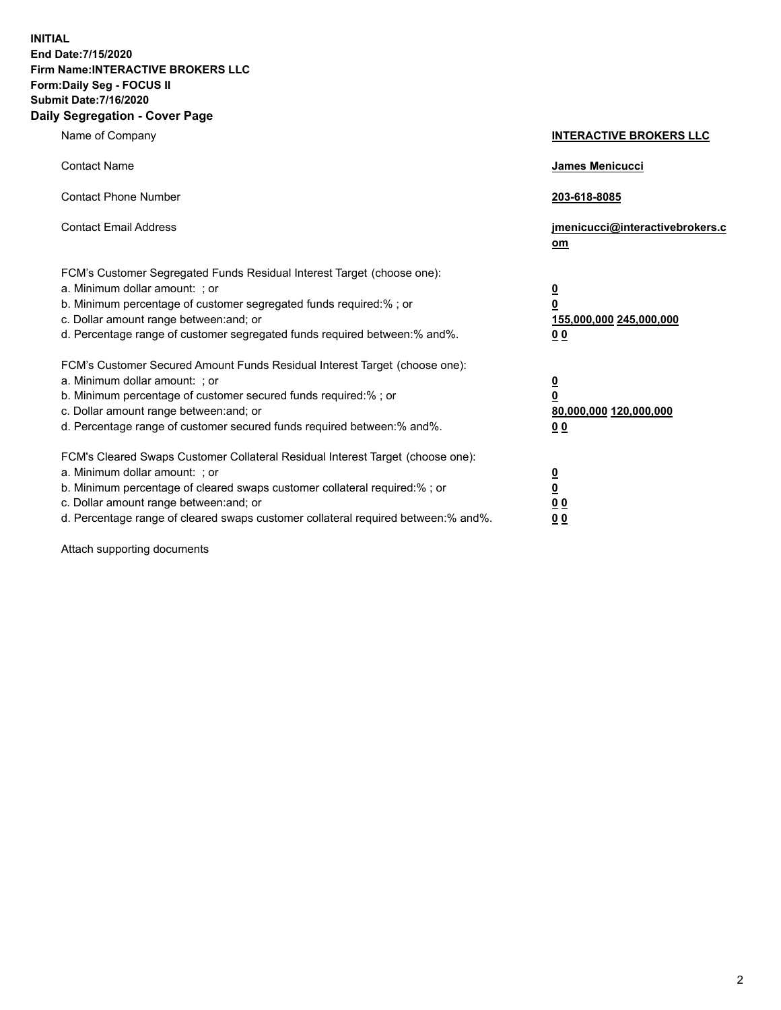**INITIAL End Date:7/15/2020 Firm Name:INTERACTIVE BROKERS LLC Form:Daily Seg - FOCUS II Submit Date:7/16/2020 Daily Segregation - Cover Page**

| Name of Company                                                                                                                                                                                                                                                                                                               | <b>INTERACTIVE BROKERS LLC</b>                                                                  |  |
|-------------------------------------------------------------------------------------------------------------------------------------------------------------------------------------------------------------------------------------------------------------------------------------------------------------------------------|-------------------------------------------------------------------------------------------------|--|
| <b>Contact Name</b>                                                                                                                                                                                                                                                                                                           | James Menicucci                                                                                 |  |
| <b>Contact Phone Number</b>                                                                                                                                                                                                                                                                                                   | 203-618-8085                                                                                    |  |
| <b>Contact Email Address</b>                                                                                                                                                                                                                                                                                                  | jmenicucci@interactivebrokers.c<br><u>om</u>                                                    |  |
| FCM's Customer Segregated Funds Residual Interest Target (choose one):<br>a. Minimum dollar amount: ; or<br>b. Minimum percentage of customer segregated funds required:% ; or<br>c. Dollar amount range between: and; or<br>d. Percentage range of customer segregated funds required between:% and%.                        | $\overline{\mathbf{0}}$<br>$\overline{\mathbf{0}}$<br>155,000,000 245,000,000<br>0 <sub>0</sub> |  |
| FCM's Customer Secured Amount Funds Residual Interest Target (choose one):<br>a. Minimum dollar amount: ; or<br>b. Minimum percentage of customer secured funds required:%; or<br>c. Dollar amount range between: and; or<br>d. Percentage range of customer secured funds required between:% and%.                           | $\overline{\mathbf{0}}$<br>$\overline{\mathbf{0}}$<br>80,000,000 120,000,000<br>0 <sub>0</sub>  |  |
| FCM's Cleared Swaps Customer Collateral Residual Interest Target (choose one):<br>a. Minimum dollar amount: ; or<br>b. Minimum percentage of cleared swaps customer collateral required:%; or<br>c. Dollar amount range between: and; or<br>d. Percentage range of cleared swaps customer collateral required between:% and%. | $\overline{\mathbf{0}}$<br>$\overline{\mathbf{0}}$<br>0 <sub>0</sub><br>0 <sub>0</sub>          |  |

Attach supporting documents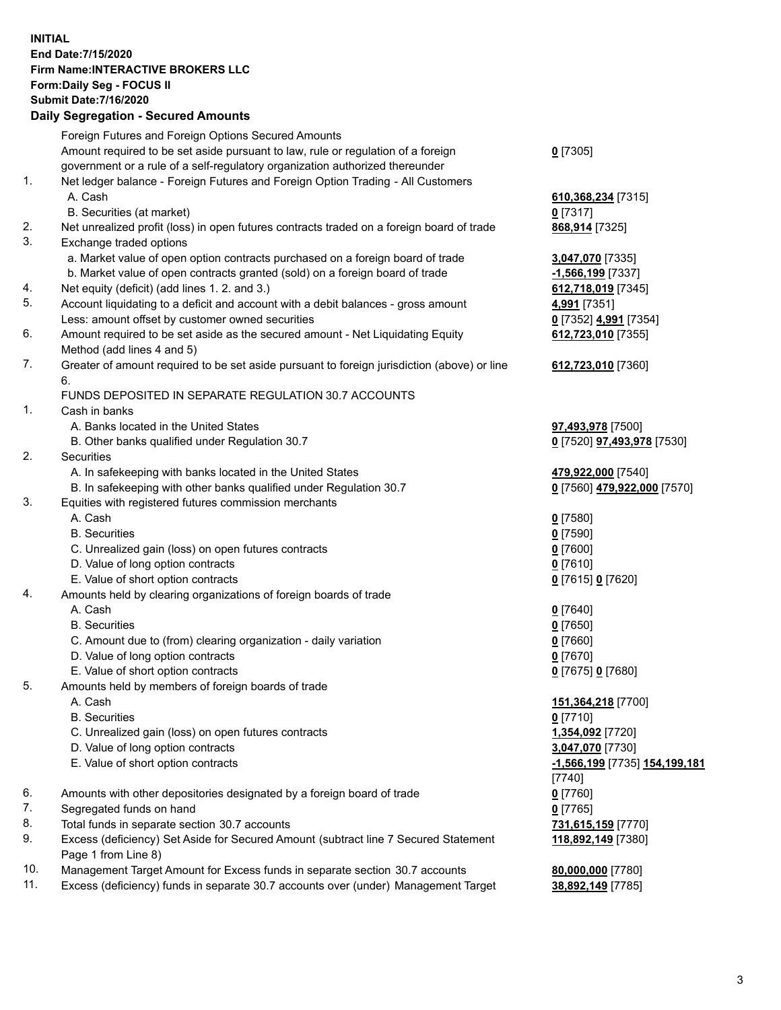**INITIAL End Date:7/15/2020 Firm Name:INTERACTIVE BROKERS LLC Form:Daily Seg - FOCUS II Submit Date:7/16/2020 Daily Segregation - Secured Amounts**

## Foreign Futures and Foreign Options Secured Amounts Amount required to be set aside pursuant to law, rule or regulation of a foreign government or a rule of a self-regulatory organization authorized thereunder **0** [7305] 1. Net ledger balance - Foreign Futures and Foreign Option Trading - All Customers A. Cash **610,368,234** [7315] B. Securities (at market) **0** [7317] 2. Net unrealized profit (loss) in open futures contracts traded on a foreign board of trade **868,914** [7325] 3. Exchange traded options a. Market value of open option contracts purchased on a foreign board of trade **3,047,070** [7335] b. Market value of open contracts granted (sold) on a foreign board of trade **-1,566,199** [7337] 4. Net equity (deficit) (add lines 1. 2. and 3.) **612,718,019** [7345] 5. Account liquidating to a deficit and account with a debit balances - gross amount **4,991** [7351] Less: amount offset by customer owned securities **0** [7352] **4,991** [7354] 6. Amount required to be set aside as the secured amount - Net Liquidating Equity Method (add lines 4 and 5) **612,723,010** [7355] 7. Greater of amount required to be set aside pursuant to foreign jurisdiction (above) or line 6. **612,723,010** [7360] FUNDS DEPOSITED IN SEPARATE REGULATION 30.7 ACCOUNTS 1. Cash in banks A. Banks located in the United States **97,493,978** [7500] B. Other banks qualified under Regulation 30.7 **0** [7520] **97,493,978** [7530] 2. Securities A. In safekeeping with banks located in the United States **479,922,000** [7540] B. In safekeeping with other banks qualified under Regulation 30.7 **0** [7560] **479,922,000** [7570] 3. Equities with registered futures commission merchants A. Cash **0** [7580] B. Securities **0** [7590] C. Unrealized gain (loss) on open futures contracts **0** [7600] D. Value of long option contracts **0** [7610] E. Value of short option contracts **0** [7615] **0** [7620] 4. Amounts held by clearing organizations of foreign boards of trade A. Cash **0** [7640] B. Securities **0** [7650] C. Amount due to (from) clearing organization - daily variation **0** [7660] D. Value of long option contracts **0** [7670] E. Value of short option contracts **0** [7675] **0** [7680] 5. Amounts held by members of foreign boards of trade A. Cash **151,364,218** [7700] B. Securities **0** [7710] C. Unrealized gain (loss) on open futures contracts **1,354,092** [7720] D. Value of long option contracts **3,047,070** [7730] E. Value of short option contracts **-1,566,199** [7735] **154,199,181** [7740] 6. Amounts with other depositories designated by a foreign board of trade **0** [7760] 7. Segregated funds on hand **0** [7765] 8. Total funds in separate section 30.7 accounts **731,615,159** [7770] 9. Excess (deficiency) Set Aside for Secured Amount (subtract line 7 Secured Statement Page 1 from Line 8) **118,892,149** [7380] 10. Management Target Amount for Excess funds in separate section 30.7 accounts **80,000,000** [7780] 11. Excess (deficiency) funds in separate 30.7 accounts over (under) Management Target **38,892,149** [7785]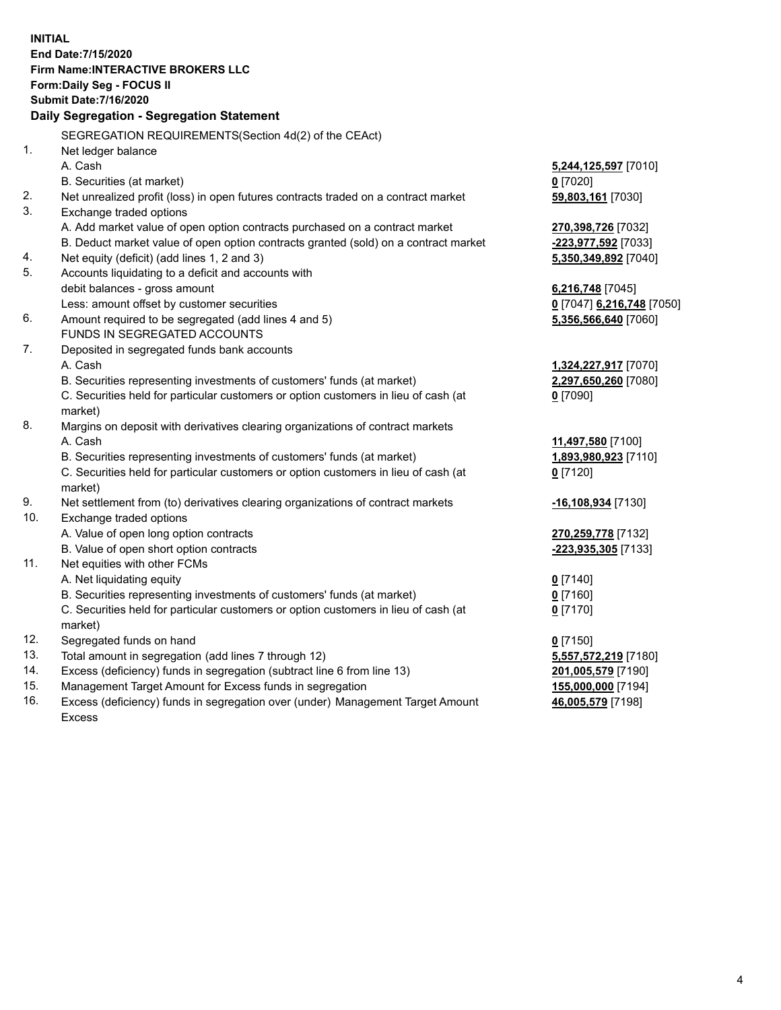**INITIAL End Date:7/15/2020 Firm Name:INTERACTIVE BROKERS LLC Form:Daily Seg - FOCUS II Submit Date:7/16/2020 Daily Segregation - Segregation Statement** SEGREGATION REQUIREMENTS(Section 4d(2) of the CEAct) 1. Net ledger balance A. Cash **5,244,125,597** [7010] B. Securities (at market) **0** [7020] 2. Net unrealized profit (loss) in open futures contracts traded on a contract market **59,803,161** [7030] 3. Exchange traded options A. Add market value of open option contracts purchased on a contract market **270,398,726** [7032] B. Deduct market value of open option contracts granted (sold) on a contract market **-223,977,592** [7033] 4. Net equity (deficit) (add lines 1, 2 and 3) **5,350,349,892** [7040] 5. Accounts liquidating to a deficit and accounts with debit balances - gross amount **6,216,748** [7045] Less: amount offset by customer securities **0** [7047] **6,216,748** [7050] 6. Amount required to be segregated (add lines 4 and 5) **5,356,566,640** [7060] FUNDS IN SEGREGATED ACCOUNTS 7. Deposited in segregated funds bank accounts A. Cash **1,324,227,917** [7070] B. Securities representing investments of customers' funds (at market) **2,297,650,260** [7080] C. Securities held for particular customers or option customers in lieu of cash (at market) **0** [7090] 8. Margins on deposit with derivatives clearing organizations of contract markets A. Cash **11,497,580** [7100] B. Securities representing investments of customers' funds (at market) **1,893,980,923** [7110] C. Securities held for particular customers or option customers in lieu of cash (at market) **0** [7120] 9. Net settlement from (to) derivatives clearing organizations of contract markets **-16,108,934** [7130] 10. Exchange traded options A. Value of open long option contracts **270,259,778** [7132] B. Value of open short option contracts **-223,935,305** [7133] 11. Net equities with other FCMs A. Net liquidating equity **0** [7140] B. Securities representing investments of customers' funds (at market) **0** [7160] C. Securities held for particular customers or option customers in lieu of cash (at market) **0** [7170] 12. Segregated funds on hand **0** [7150] 13. Total amount in segregation (add lines 7 through 12) **5,557,572,219** [7180] 14. Excess (deficiency) funds in segregation (subtract line 6 from line 13) **201,005,579** [7190] 15. Management Target Amount for Excess funds in segregation **155,000,000** [7194] 16. Excess (deficiency) funds in segregation over (under) Management Target Amount **46,005,579** [7198]

Excess